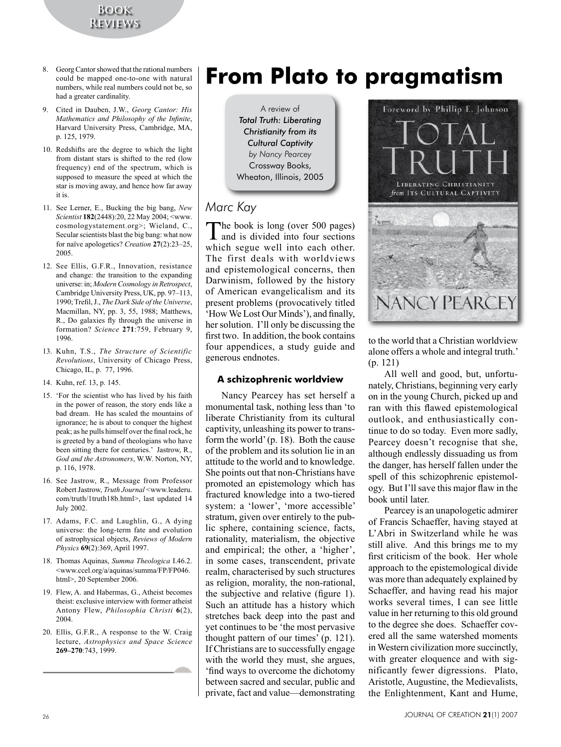**Book Reviews**

- 8. Georg Cantor showed that the rational numbers could be mapped one-to-one with natural numbers, while real numbers could not be, so had a greater cardinality.
- 9. Cited in Dauben, J.W., *Georg Cantor: His Mathematics and Philosophy of the Infinite*, Harvard University Press, Cambridge, MA, p. 125, 1979.
- 10. Redshifts are the degree to which the light from distant stars is shifted to the red (low frequency) end of the spectrum, which is supposed to measure the speed at which the star is moving away, and hence how far away it is.
- 11. See Lerner, E., Bucking the big bang, *New Scientist* **182**(2448):20, 22 May 2004; <www. cosmologystatement.org>; Wieland, C., Secular scientists blast the big bang: what now for naïve apologetics? *Creation* **27**(2):23–25, 2005.
- 12. See Ellis, G.F.R., Innovation, resistance and change: the transition to the expanding universe: in; *Modern Cosmology in Retrospect*, Cambridge University Press, UK, pp. 97–113, 1990; Trefil, J., *The Dark Side of the Universe*, Macmillan, NY, pp. 3, 55, 1988; Matthews, R., Do galaxies fly through the universe in formation? *Science* **271**:759, February 9, 1996.
- 13. Kuhn, T.S., *The Structure of Scientific Revolutions*, University of Chicago Press, Chicago, IL, p. 77, 1996.
- 14. Kuhn, ref. 13, p. 145.
- 15. 'For the scientist who has lived by his faith in the power of reason, the story ends like a bad dream. He has scaled the mountains of ignorance; he is about to conquer the highest peak; as he pulls himself over the final rock, he is greeted by a band of theologians who have been sitting there for centuries.' Jastrow, R., *God and the Astronomers*, W.W. Norton, NY, p. 116, 1978.
- 16. See Jastrow, R., Message from Professor RobertJastrow, *Truth Journal* <www.leaderu. com/truth/1truth18b.html>, last updated 14 July 2002.
- 17. Adams, F.C. and Laughlin, G., A dying universe: the long-term fate and evolution of astrophysical objects, *Reviews of Modern Physics* **69**(2):369, April 1997.
- 18. Thomas Aquinas, *Summa Theologica* I.46.2. <www.ccel.org/a/aquinas/summa/FP/FP046. html>, 20 September 2006.
- 19. Flew, A. and Habermas, G., Atheist becomes theist: exclusive interview with former atheist Antony Flew, *Philosophia Christi* **6**(2), 2004.
- 20. Ellis, G.F.R., A response to the W. Craig lecture, *Astrophysics and Space Science* **269–270**:743, 1999.

# **From Plato to pragmatism**

A review of *Total Truth: Liberating Christianity from its Cultural Captivity by Nancy Pearcey* Crossway Books, Wheaton, Illinois, 2005

## *Marc Kay*

The book is long (over 500 pages) and is divided into four sections which segue well into each other. The first deals with worldviews and epistemological concerns, then Darwinism, followed by the history of American evangelicalism and its present problems (provocatively titled 'How We Lost Our Minds'), and finally, her solution. I'll only be discussing the first two. In addition, the book contains four appendices, a study guide and generous endnotes.

### **A schizophrenic worldview**

Nancy Pearcey has set herself a monumental task, nothing less than 'to liberate Christianity from its cultural captivity, unleashing its power to transform the world'(p. 18). Both the cause of the problem and its solution lie in an attitude to the world and to knowledge. She points out that non-Christians have promoted an epistemology which has fractured knowledge into a two-tiered system: a 'lower', 'more accessible' stratum, given over entirely to the public sphere, containing science, facts, rationality, materialism, the objective and empirical; the other, a 'higher', in some cases, transcendent, private realm, characterised by such structures as religion, morality, the non-rational, the subjective and relative (figure 1). Such an attitude has a history which stretches back deep into the past and yet continues to be 'the most pervasive thought pattern of our times' (p. 121). If Christians are to successfully engage with the world they must, she argues, 'find ways to overcome the dichotomy between sacred and secular, public and private, fact and value—demonstrating



to the world that a Christian worldview alone offers a whole and integral truth.' (p. 121)

All well and good, but, unfortunately, Christians, beginning very early on in the young Church, picked up and ran with this flawed epistemological outlook, and enthusiastically continue to do so today. Even more sadly, Pearcey doesn't recognise that she, although endlessly dissuading us from the danger, has herself fallen under the spell of this schizophrenic epistemology. But I'll save this major flaw in the book until later.

Pearcey is an unapologetic admirer of Francis Schaeffer, having stayed at L'Abri in Switzerland while he was still alive. And this brings me to my first criticism of the book. Her whole approach to the epistemological divide was more than adequately explained by Schaeffer, and having read his major works several times, I can see little value in her returning to this old ground to the degree she does. Schaeffer covered all the same watershed moments in Western civilization more succinctly, with greater eloquence and with significantly fewer digressions. Plato, Aristotle, Augustine, the Medievalists, the Enlightenment, Kant and Hume,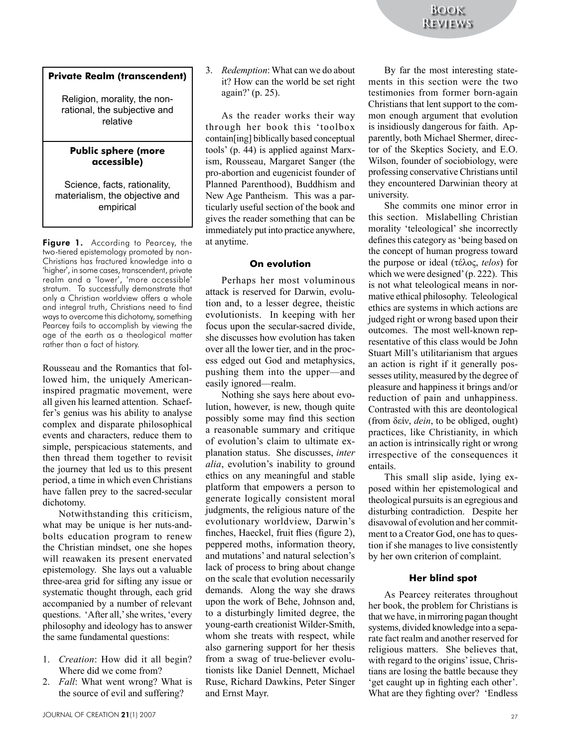#### **Private Realm (transcendent)**

Religion, morality, the nonrational, the subjective and relative

#### **Public sphere (more accessible)**

Science, facts, rationality, materialism, the objective and empirical

Figure 1. According to Pearcey, the two-tiered epistemology promoted by non-Christians has fractured knowledge into a 'higher', in some cases, transcendent, private realm and a 'lower', 'more accessible' stratum. To successfully demonstrate that only a Christian worldview offers a whole and integral truth, Christians need to find ways to overcome this dichotomy, something Pearcey fails to accomplish by viewing the age of the earth as a theological matter rather than a fact of history.

Rousseau and the Romantics that followed him, the uniquely Americaninspired pragmatic movement, were all given his learned attention. Schaeffer's genius was his ability to analyse complex and disparate philosophical events and characters, reduce them to simple, perspicacious statements, and then thread them together to revisit the journey that led us to this present period, a time in which even Christians have fallen prey to the sacred-secular dichotomy.

Notwithstanding this criticism, what may be unique is her nuts-andbolts education program to renew the Christian mindset, one she hopes will reawaken its present enervated epistemology. She lays out a valuable three-area grid for sifting any issue or systematic thought through, each grid accompanied by a number of relevant questions. 'After all,'she writes, 'every philosophy and ideology has to answer the same fundamental questions:

- 1. *Creation*: How did it all begin? Where did we come from?
- 2. *Fall*: What went wrong? What is the source of evil and suffering?

3. *Redemption*: What can we do about it? How can the world be set right again?' (p. 25).

As the reader works their way through her book this 'toolbox contain[ing] biblically based conceptual tools' (p. 44) is applied against Marxism, Rousseau, Margaret Sanger (the pro-abortion and eugenicist founder of Planned Parenthood), Buddhism and New Age Pantheism. This was a particularly useful section of the book and gives the reader something that can be immediately put into practice anywhere, at anytime.

#### **On evolution**

Perhaps her most voluminous attack is reserved for Darwin, evolution and, to a lesser degree, theistic evolutionists. In keeping with her focus upon the secular-sacred divide, she discusses how evolution has taken over all the lower tier, and in the process edged out God and metaphysics, pushing them into the upper—and easily ignored—realm.

Nothing she says here about evolution, however, is new, though quite possibly some may find this section a reasonable summary and critique of evolution's claim to ultimate explanation status. She discusses, *inter alia*, evolution's inability to ground ethics on any meaningful and stable platform that empowers a person to generate logically consistent moral judgments, the religious nature of the evolutionary worldview, Darwin's finches, Haeckel, fruit flies (figure 2), peppered moths, information theory, and mutations' and natural selection's lack of process to bring about change on the scale that evolution necessarily demands. Along the way she draws upon the work of Behe, Johnson and, to a disturbingly limited degree, the young-earth creationist Wilder-Smith, whom she treats with respect, while also garnering support for her thesis from a swag of true-believer evolutionists like Daniel Dennett, Michael Ruse, Richard Dawkins, Peter Singer and Ernst Mayr.

By far the most interesting statements in this section were the two testimonies from former born-again Christians that lent support to the common enough argument that evolution is insidiously dangerous for faith. Apparently, both Michael Shermer, director of the Skeptics Society, and E.O. Wilson, founder of sociobiology, were professing conservative Christians until they encountered Darwinian theory at university.

She commits one minor error in this section. Mislabelling Christian morality 'teleological' she incorrectly defines this category as 'being based on the concept of human progress toward the purpose or ideal (τέλος, *telos*) for which we were designed' (p. 222). This is not what teleological means in normative ethical philosophy. Teleological ethics are systems in which actions are judged right or wrong based upon their outcomes. The most well-known representative of this class would be John Stuart Mill's utilitarianism that argues an action is right if it generally possesses utility, measured by the degree of pleasure and happiness it brings and/or reduction of pain and unhappiness. Contrasted with this are deontological (from δείν, *dein*, to be obliged, ought) practices, like Christianity, in which an action is intrinsically right or wrong irrespective of the consequences it entails.

This small slip aside, lying exposed within her epistemological and theological pursuits is an egregious and disturbing contradiction. Despite her disavowal of evolution and her commitment to a Creator God, one has to question if she manages to live consistently by her own criterion of complaint.

#### **Her blind spot**

As Pearcey reiterates throughout her book, the problem for Christians is that we have, inmirroring pagan thought systems, divided knowledge into a separate fact realm and another reserved for religious matters. She believes that, with regard to the origins' issue, Christians are losing the battle because they 'get caught up in fighting each other'. What are they fighting over? 'Endless